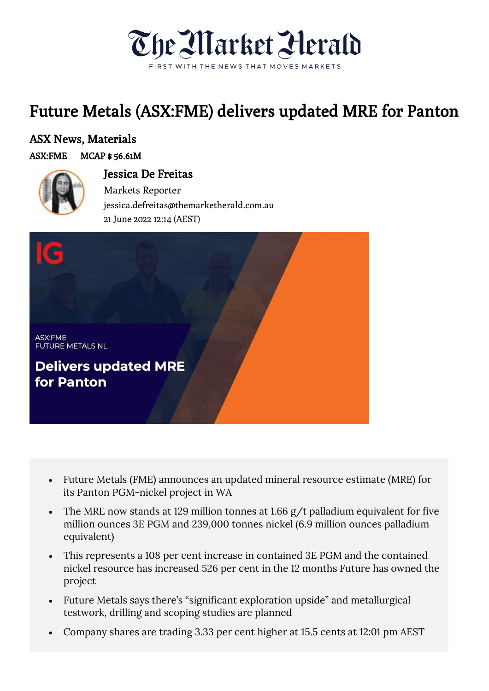

## Future Metals (ASX:FME) delivers updated MRE for Panton

## ASX News, Materials

## ASX:FME MCAP \$ 56.61M



## Jessica De Freitas Markets Reporter jessica.defreitas@themarketherald.com.au <sup>21</sup> June 2022 12:14 (AEST)



- Future Metals (FME) announces an updated mineral resource estimate (MRE) for its Panton PGM-nickel project in WA
- The MRE now stands at 129 million tonnes at 1.66 g/t palladium equivalent for five million ounces 3E PGM and 239,000 tonnes nickel (6.9 million ounces palladium equivalent)
- This represents a 108 per cent increase in contained 3E PGM and the contained nickel resource has increased 526 per cent in the 12 months Future has owned the project
- Future Metals says there's "significant exploration upside" and metallurgical testwork, drilling and scoping studies are planned
- Company shares are trading 3.33 per cent higher at 15.5 cents at 12:01 pm AEST